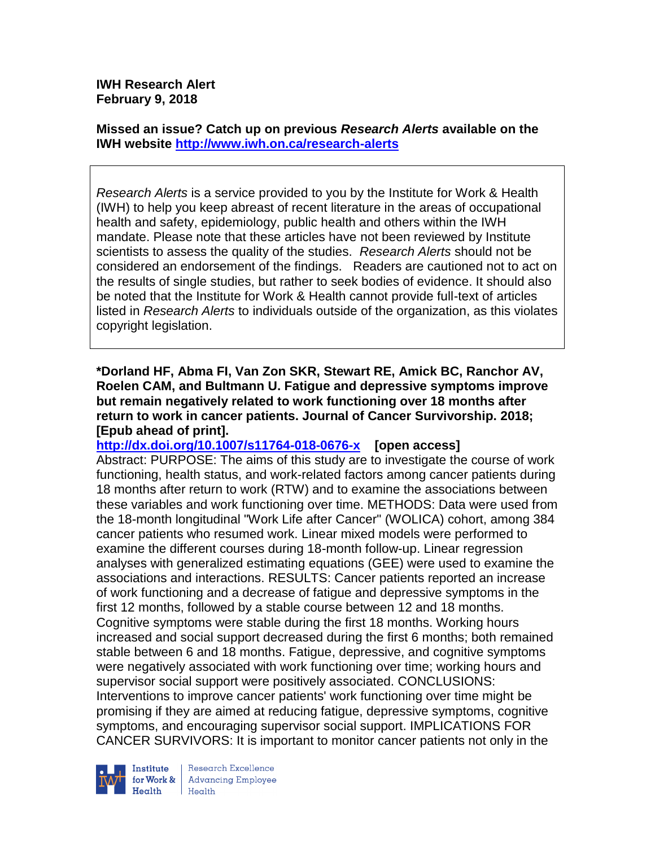**IWH Research Alert February 9, 2018**

**Missed an issue? Catch up on previous** *Research Alerts* **available on the [IWH website](http://www.iwh.on.ca/research-alerts) <http://www.iwh.on.ca/research-alerts>**

*Research Alerts* is a service provided to you by the Institute for Work & Health (IWH) to help you keep abreast of recent literature in the areas of occupational health and safety, epidemiology, public health and others within the IWH mandate. Please note that these articles have not been reviewed by Institute scientists to assess the quality of the studies. *Research Alerts* should not be considered an endorsement of the findings. Readers are cautioned not to act on the results of single studies, but rather to seek bodies of evidence. It should also be noted that the Institute for Work & Health cannot provide full-text of articles listed in *Research Alerts* to individuals outside of the organization, as this violates copyright legislation.

**\*Dorland HF, Abma FI, Van Zon SKR, Stewart RE, Amick BC, Ranchor AV, Roelen CAM, and Bultmann U. Fatigue and depressive symptoms improve but remain negatively related to work functioning over 18 months after return to work in cancer patients. Journal of Cancer Survivorship. 2018; [Epub ahead of print].**

**<http://dx.doi.org/10.1007/s11764-018-0676-x>[open access]** Abstract: PURPOSE: The aims of this study are to investigate the course of work functioning, health status, and work-related factors among cancer patients during 18 months after return to work (RTW) and to examine the associations between these variables and work functioning over time. METHODS: Data were used from the 18-month longitudinal "Work Life after Cancer" (WOLICA) cohort, among 384 cancer patients who resumed work. Linear mixed models were performed to examine the different courses during 18-month follow-up. Linear regression analyses with generalized estimating equations (GEE) were used to examine the associations and interactions. RESULTS: Cancer patients reported an increase of work functioning and a decrease of fatigue and depressive symptoms in the first 12 months, followed by a stable course between 12 and 18 months. Cognitive symptoms were stable during the first 18 months. Working hours increased and social support decreased during the first 6 months; both remained stable between 6 and 18 months. Fatigue, depressive, and cognitive symptoms were negatively associated with work functioning over time; working hours and supervisor social support were positively associated. CONCLUSIONS: Interventions to improve cancer patients' work functioning over time might be promising if they are aimed at reducing fatigue, depressive symptoms, cognitive symptoms, and encouraging supervisor social support. IMPLICATIONS FOR CANCER SURVIVORS: It is important to monitor cancer patients not only in the



Research Excellence for Work & | Advancing Employee Health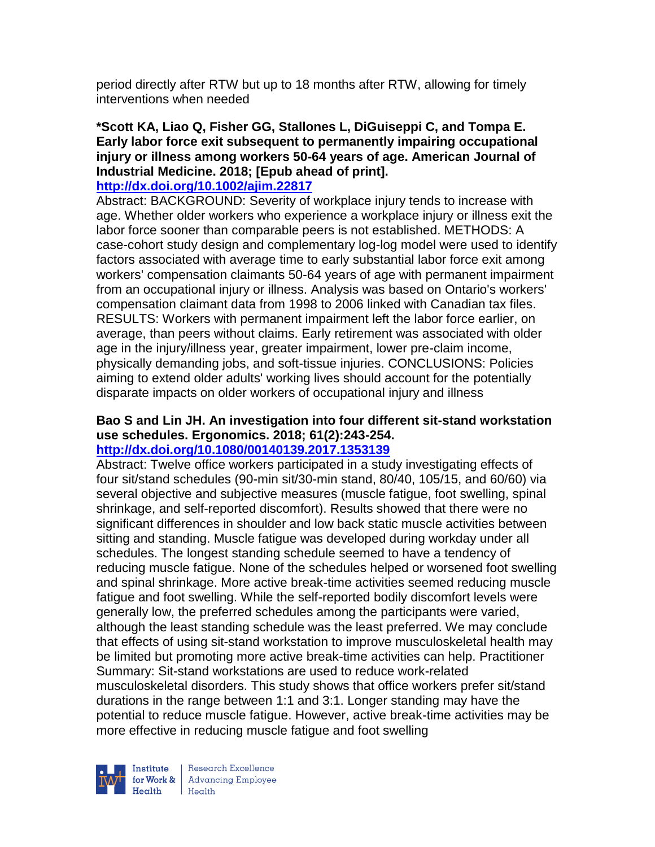period directly after RTW but up to 18 months after RTW, allowing for timely interventions when needed

# **\*Scott KA, Liao Q, Fisher GG, Stallones L, DiGuiseppi C, and Tompa E. Early labor force exit subsequent to permanently impairing occupational injury or illness among workers 50-64 years of age. American Journal of Industrial Medicine. 2018; [Epub ahead of print].**

#### **<http://dx.doi.org/10.1002/ajim.22817>**

Abstract: BACKGROUND: Severity of workplace injury tends to increase with age. Whether older workers who experience a workplace injury or illness exit the labor force sooner than comparable peers is not established. METHODS: A case-cohort study design and complementary log-log model were used to identify factors associated with average time to early substantial labor force exit among workers' compensation claimants 50-64 years of age with permanent impairment from an occupational injury or illness. Analysis was based on Ontario's workers' compensation claimant data from 1998 to 2006 linked with Canadian tax files. RESULTS: Workers with permanent impairment left the labor force earlier, on average, than peers without claims. Early retirement was associated with older age in the injury/illness year, greater impairment, lower pre-claim income, physically demanding jobs, and soft-tissue injuries. CONCLUSIONS: Policies aiming to extend older adults' working lives should account for the potentially disparate impacts on older workers of occupational injury and illness

#### **Bao S and Lin JH. An investigation into four different sit-stand workstation use schedules. Ergonomics. 2018; 61(2):243-254. <http://dx.doi.org/10.1080/00140139.2017.1353139>**

## Abstract: Twelve office workers participated in a study investigating effects of four sit/stand schedules (90-min sit/30-min stand, 80/40, 105/15, and 60/60) via several objective and subjective measures (muscle fatigue, foot swelling, spinal shrinkage, and self-reported discomfort). Results showed that there were no significant differences in shoulder and low back static muscle activities between sitting and standing. Muscle fatigue was developed during workday under all schedules. The longest standing schedule seemed to have a tendency of reducing muscle fatigue. None of the schedules helped or worsened foot swelling and spinal shrinkage. More active break-time activities seemed reducing muscle fatigue and foot swelling. While the self-reported bodily discomfort levels were generally low, the preferred schedules among the participants were varied, although the least standing schedule was the least preferred. We may conclude that effects of using sit-stand workstation to improve musculoskeletal health may be limited but promoting more active break-time activities can help. Practitioner Summary: Sit-stand workstations are used to reduce work-related musculoskeletal disorders. This study shows that office workers prefer sit/stand durations in the range between 1:1 and 3:1. Longer standing may have the potential to reduce muscle fatigue. However, active break-time activities may be more effective in reducing muscle fatigue and foot swelling



Research Excellence for Work & Advancing Employee  $H_{\text{eath}}$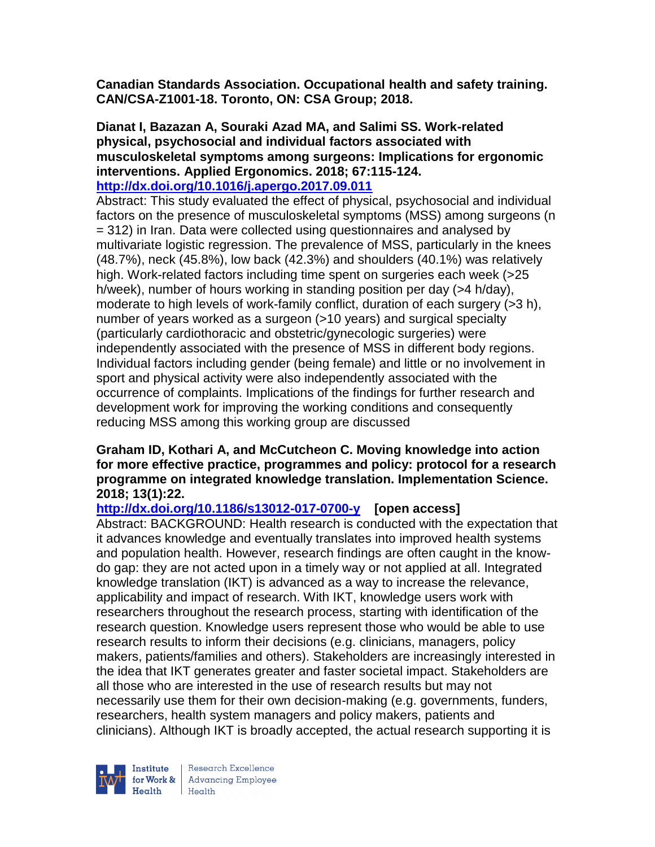**Canadian Standards Association. Occupational health and safety training. CAN/CSA-Z1001-18. Toronto, ON: CSA Group; 2018.** 

#### **Dianat I, Bazazan A, Souraki Azad MA, and Salimi SS. Work-related physical, psychosocial and individual factors associated with musculoskeletal symptoms among surgeons: Implications for ergonomic interventions. Applied Ergonomics. 2018; 67:115-124. <http://dx.doi.org/10.1016/j.apergo.2017.09.011>**

Abstract: This study evaluated the effect of physical, psychosocial and individual factors on the presence of musculoskeletal symptoms (MSS) among surgeons (n = 312) in Iran. Data were collected using questionnaires and analysed by multivariate logistic regression. The prevalence of MSS, particularly in the knees (48.7%), neck (45.8%), low back (42.3%) and shoulders (40.1%) was relatively high. Work-related factors including time spent on surgeries each week (>25 h/week), number of hours working in standing position per day (>4 h/day), moderate to high levels of work-family conflict, duration of each surgery (>3 h), number of years worked as a surgeon (>10 years) and surgical specialty (particularly cardiothoracic and obstetric/gynecologic surgeries) were independently associated with the presence of MSS in different body regions. Individual factors including gender (being female) and little or no involvement in sport and physical activity were also independently associated with the occurrence of complaints. Implications of the findings for further research and development work for improving the working conditions and consequently reducing MSS among this working group are discussed

## **Graham ID, Kothari A, and McCutcheon C. Moving knowledge into action for more effective practice, programmes and policy: protocol for a research programme on integrated knowledge translation. Implementation Science. 2018; 13(1):22.**

**<http://dx.doi.org/10.1186/s13012-017-0700-y>[open access]**

Abstract: BACKGROUND: Health research is conducted with the expectation that it advances knowledge and eventually translates into improved health systems and population health. However, research findings are often caught in the knowdo gap: they are not acted upon in a timely way or not applied at all. Integrated knowledge translation (IKT) is advanced as a way to increase the relevance, applicability and impact of research. With IKT, knowledge users work with researchers throughout the research process, starting with identification of the research question. Knowledge users represent those who would be able to use research results to inform their decisions (e.g. clinicians, managers, policy makers, patients/families and others). Stakeholders are increasingly interested in the idea that IKT generates greater and faster societal impact. Stakeholders are all those who are interested in the use of research results but may not necessarily use them for their own decision-making (e.g. governments, funders, researchers, health system managers and policy makers, patients and clinicians). Although IKT is broadly accepted, the actual research supporting it is

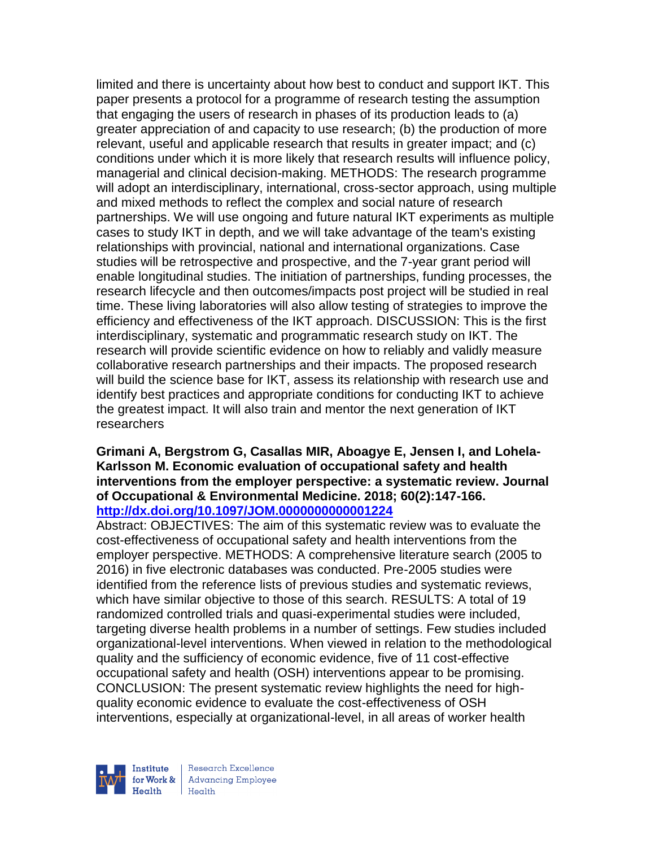limited and there is uncertainty about how best to conduct and support IKT. This paper presents a protocol for a programme of research testing the assumption that engaging the users of research in phases of its production leads to (a) greater appreciation of and capacity to use research; (b) the production of more relevant, useful and applicable research that results in greater impact; and (c) conditions under which it is more likely that research results will influence policy, managerial and clinical decision-making. METHODS: The research programme will adopt an interdisciplinary, international, cross-sector approach, using multiple and mixed methods to reflect the complex and social nature of research partnerships. We will use ongoing and future natural IKT experiments as multiple cases to study IKT in depth, and we will take advantage of the team's existing relationships with provincial, national and international organizations. Case studies will be retrospective and prospective, and the 7-year grant period will enable longitudinal studies. The initiation of partnerships, funding processes, the research lifecycle and then outcomes/impacts post project will be studied in real time. These living laboratories will also allow testing of strategies to improve the efficiency and effectiveness of the IKT approach. DISCUSSION: This is the first interdisciplinary, systematic and programmatic research study on IKT. The research will provide scientific evidence on how to reliably and validly measure collaborative research partnerships and their impacts. The proposed research will build the science base for IKT, assess its relationship with research use and identify best practices and appropriate conditions for conducting IKT to achieve the greatest impact. It will also train and mentor the next generation of IKT researchers

#### **Grimani A, Bergstrom G, Casallas MIR, Aboagye E, Jensen I, and Lohela-Karlsson M. Economic evaluation of occupational safety and health interventions from the employer perspective: a systematic review. Journal of Occupational & Environmental Medicine. 2018; 60(2):147-166. <http://dx.doi.org/10.1097/JOM.0000000000001224>**

Abstract: OBJECTIVES: The aim of this systematic review was to evaluate the cost-effectiveness of occupational safety and health interventions from the employer perspective. METHODS: A comprehensive literature search (2005 to 2016) in five electronic databases was conducted. Pre-2005 studies were identified from the reference lists of previous studies and systematic reviews, which have similar objective to those of this search. RESULTS: A total of 19 randomized controlled trials and quasi-experimental studies were included, targeting diverse health problems in a number of settings. Few studies included organizational-level interventions. When viewed in relation to the methodological quality and the sufficiency of economic evidence, five of 11 cost-effective occupational safety and health (OSH) interventions appear to be promising. CONCLUSION: The present systematic review highlights the need for highquality economic evidence to evaluate the cost-effectiveness of OSH interventions, especially at organizational-level, in all areas of worker health

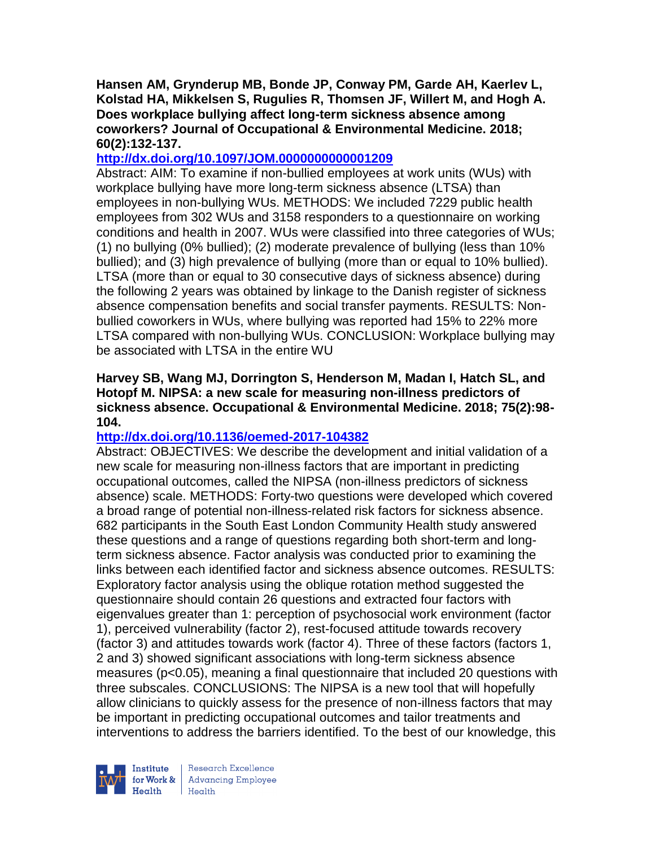**Hansen AM, Grynderup MB, Bonde JP, Conway PM, Garde AH, Kaerlev L, Kolstad HA, Mikkelsen S, Rugulies R, Thomsen JF, Willert M, and Hogh A. Does workplace bullying affect long-term sickness absence among coworkers? Journal of Occupational & Environmental Medicine. 2018; 60(2):132-137.** 

## **<http://dx.doi.org/10.1097/JOM.0000000000001209>**

Abstract: AIM: To examine if non-bullied employees at work units (WUs) with workplace bullying have more long-term sickness absence (LTSA) than employees in non-bullying WUs. METHODS: We included 7229 public health employees from 302 WUs and 3158 responders to a questionnaire on working conditions and health in 2007. WUs were classified into three categories of WUs; (1) no bullying (0% bullied); (2) moderate prevalence of bullying (less than 10% bullied); and (3) high prevalence of bullying (more than or equal to 10% bullied). LTSA (more than or equal to 30 consecutive days of sickness absence) during the following 2 years was obtained by linkage to the Danish register of sickness absence compensation benefits and social transfer payments. RESULTS: Nonbullied coworkers in WUs, where bullying was reported had 15% to 22% more LTSA compared with non-bullying WUs. CONCLUSION: Workplace bullying may be associated with LTSA in the entire WU

## **Harvey SB, Wang MJ, Dorrington S, Henderson M, Madan I, Hatch SL, and Hotopf M. NIPSA: a new scale for measuring non-illness predictors of sickness absence. Occupational & Environmental Medicine. 2018; 75(2):98- 104.**

# **<http://dx.doi.org/10.1136/oemed-2017-104382>**

Abstract: OBJECTIVES: We describe the development and initial validation of a new scale for measuring non-illness factors that are important in predicting occupational outcomes, called the NIPSA (non-illness predictors of sickness absence) scale. METHODS: Forty-two questions were developed which covered a broad range of potential non-illness-related risk factors for sickness absence. 682 participants in the South East London Community Health study answered these questions and a range of questions regarding both short-term and longterm sickness absence. Factor analysis was conducted prior to examining the links between each identified factor and sickness absence outcomes. RESULTS: Exploratory factor analysis using the oblique rotation method suggested the questionnaire should contain 26 questions and extracted four factors with eigenvalues greater than 1: perception of psychosocial work environment (factor 1), perceived vulnerability (factor 2), rest-focused attitude towards recovery (factor 3) and attitudes towards work (factor 4). Three of these factors (factors 1, 2 and 3) showed significant associations with long-term sickness absence measures (p<0.05), meaning a final questionnaire that included 20 questions with three subscales. CONCLUSIONS: The NIPSA is a new tool that will hopefully allow clinicians to quickly assess for the presence of non-illness factors that may be important in predicting occupational outcomes and tailor treatments and interventions to address the barriers identified. To the best of our knowledge, this



Research Excellence for Work & | Advancing Employee Health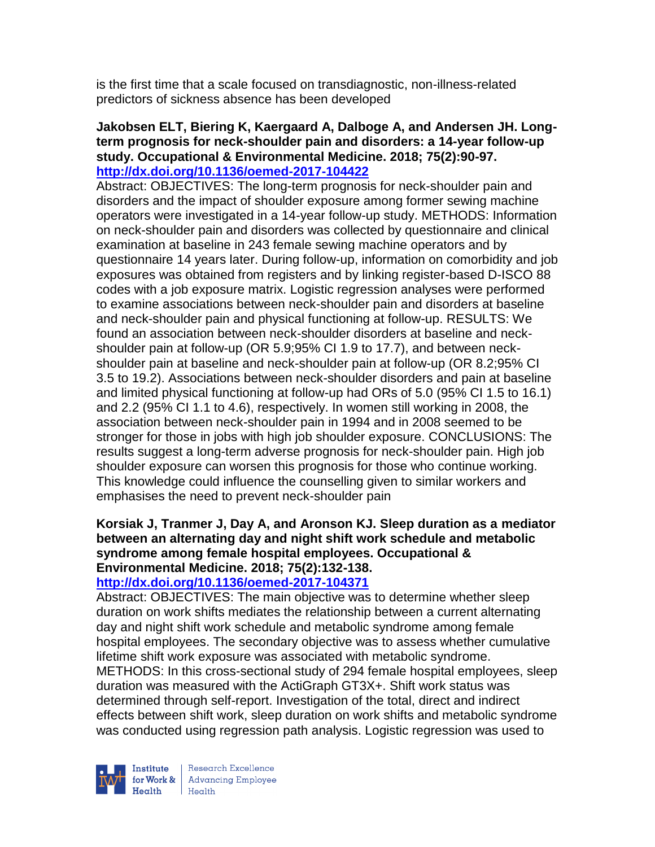is the first time that a scale focused on transdiagnostic, non-illness-related predictors of sickness absence has been developed

#### **Jakobsen ELT, Biering K, Kaergaard A, Dalboge A, and Andersen JH. Longterm prognosis for neck-shoulder pain and disorders: a 14-year follow-up study. Occupational & Environmental Medicine. 2018; 75(2):90-97. <http://dx.doi.org/10.1136/oemed-2017-104422>**

Abstract: OBJECTIVES: The long-term prognosis for neck-shoulder pain and disorders and the impact of shoulder exposure among former sewing machine operators were investigated in a 14-year follow-up study. METHODS: Information on neck-shoulder pain and disorders was collected by questionnaire and clinical examination at baseline in 243 female sewing machine operators and by questionnaire 14 years later. During follow-up, information on comorbidity and job exposures was obtained from registers and by linking register-based D-ISCO 88 codes with a job exposure matrix. Logistic regression analyses were performed to examine associations between neck-shoulder pain and disorders at baseline and neck-shoulder pain and physical functioning at follow-up. RESULTS: We found an association between neck-shoulder disorders at baseline and neckshoulder pain at follow-up (OR 5.9;95% CI 1.9 to 17.7), and between neckshoulder pain at baseline and neck-shoulder pain at follow-up (OR 8.2;95% CI 3.5 to 19.2). Associations between neck-shoulder disorders and pain at baseline and limited physical functioning at follow-up had ORs of 5.0 (95% CI 1.5 to 16.1) and 2.2 (95% CI 1.1 to 4.6), respectively. In women still working in 2008, the association between neck-shoulder pain in 1994 and in 2008 seemed to be stronger for those in jobs with high job shoulder exposure. CONCLUSIONS: The results suggest a long-term adverse prognosis for neck-shoulder pain. High job shoulder exposure can worsen this prognosis for those who continue working. This knowledge could influence the counselling given to similar workers and emphasises the need to prevent neck-shoulder pain

#### **Korsiak J, Tranmer J, Day A, and Aronson KJ. Sleep duration as a mediator between an alternating day and night shift work schedule and metabolic syndrome among female hospital employees. Occupational & Environmental Medicine. 2018; 75(2):132-138. <http://dx.doi.org/10.1136/oemed-2017-104371>**

Abstract: OBJECTIVES: The main objective was to determine whether sleep duration on work shifts mediates the relationship between a current alternating day and night shift work schedule and metabolic syndrome among female hospital employees. The secondary objective was to assess whether cumulative lifetime shift work exposure was associated with metabolic syndrome. METHODS: In this cross-sectional study of 294 female hospital employees, sleep duration was measured with the ActiGraph GT3X+. Shift work status was determined through self-report. Investigation of the total, direct and indirect effects between shift work, sleep duration on work shifts and metabolic syndrome was conducted using regression path analysis. Logistic regression was used to



Research Excellence for Work & | Advancing Employee  $Heath$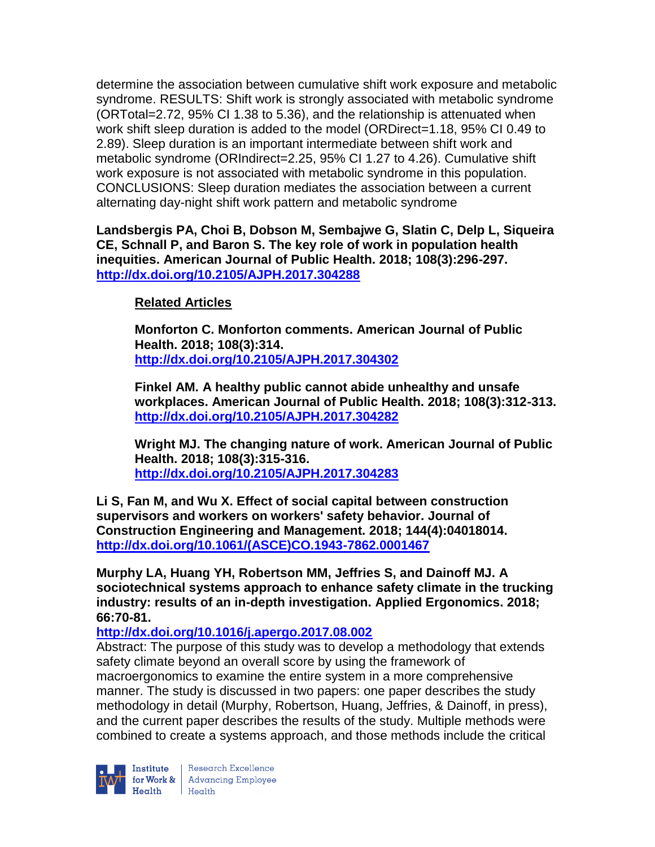determine the association between cumulative shift work exposure and metabolic syndrome. RESULTS: Shift work is strongly associated with metabolic syndrome (ORTotal=2.72, 95% CI 1.38 to 5.36), and the relationship is attenuated when work shift sleep duration is added to the model (ORDirect=1.18, 95% CI 0.49 to 2.89). Sleep duration is an important intermediate between shift work and metabolic syndrome (ORIndirect=2.25, 95% CI 1.27 to 4.26). Cumulative shift work exposure is not associated with metabolic syndrome in this population. CONCLUSIONS: Sleep duration mediates the association between a current alternating day-night shift work pattern and metabolic syndrome

**Landsbergis PA, Choi B, Dobson M, Sembajwe G, Slatin C, Delp L, Siqueira CE, Schnall P, and Baron S. The key role of work in population health inequities. American Journal of Public Health. 2018; 108(3):296-297. <http://dx.doi.org/10.2105/AJPH.2017.304288>**

# **Related Articles**

**Monforton C. Monforton comments. American Journal of Public Health. 2018; 108(3):314. <http://dx.doi.org/10.2105/AJPH.2017.304302>**

**Finkel AM. A healthy public cannot abide unhealthy and unsafe workplaces. American Journal of Public Health. 2018; 108(3):312-313. <http://dx.doi.org/10.2105/AJPH.2017.304282>**

**Wright MJ. The changing nature of work. American Journal of Public Health. 2018; 108(3):315-316. <http://dx.doi.org/10.2105/AJPH.2017.304283>**

**Li S, Fan M, and Wu X. Effect of social capital between construction supervisors and workers on workers' safety behavior. Journal of Construction Engineering and Management. 2018; 144(4):04018014. [http://dx.doi.org/10.1061/\(ASCE\)CO.1943-7862.0001467](http://dx.doi.org/10.1061/(ASCE)CO.1943-7862.0001467)**

**Murphy LA, Huang YH, Robertson MM, Jeffries S, and Dainoff MJ. A sociotechnical systems approach to enhance safety climate in the trucking industry: results of an in-depth investigation. Applied Ergonomics. 2018; 66:70-81.** 

## **<http://dx.doi.org/10.1016/j.apergo.2017.08.002>**

Abstract: The purpose of this study was to develop a methodology that extends safety climate beyond an overall score by using the framework of macroergonomics to examine the entire system in a more comprehensive manner. The study is discussed in two papers: one paper describes the study methodology in detail (Murphy, Robertson, Huang, Jeffries, & Dainoff, in press), and the current paper describes the results of the study. Multiple methods were combined to create a systems approach, and those methods include the critical

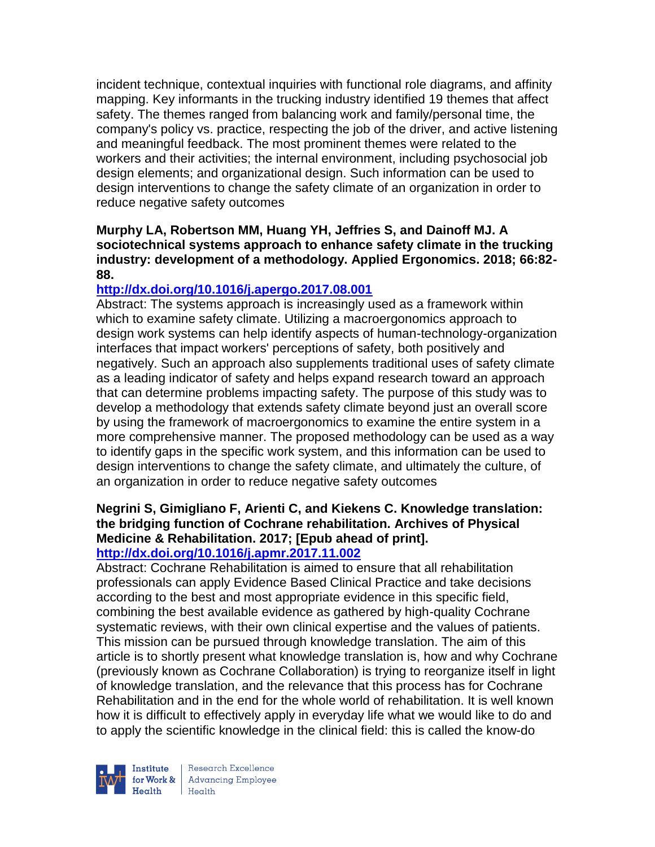incident technique, contextual inquiries with functional role diagrams, and affinity mapping. Key informants in the trucking industry identified 19 themes that affect safety. The themes ranged from balancing work and family/personal time, the company's policy vs. practice, respecting the job of the driver, and active listening and meaningful feedback. The most prominent themes were related to the workers and their activities; the internal environment, including psychosocial job design elements; and organizational design. Such information can be used to design interventions to change the safety climate of an organization in order to reduce negative safety outcomes

## **Murphy LA, Robertson MM, Huang YH, Jeffries S, and Dainoff MJ. A sociotechnical systems approach to enhance safety climate in the trucking industry: development of a methodology. Applied Ergonomics. 2018; 66:82- 88.**

# **<http://dx.doi.org/10.1016/j.apergo.2017.08.001>**

Abstract: The systems approach is increasingly used as a framework within which to examine safety climate. Utilizing a macroergonomics approach to design work systems can help identify aspects of human-technology-organization interfaces that impact workers' perceptions of safety, both positively and negatively. Such an approach also supplements traditional uses of safety climate as a leading indicator of safety and helps expand research toward an approach that can determine problems impacting safety. The purpose of this study was to develop a methodology that extends safety climate beyond just an overall score by using the framework of macroergonomics to examine the entire system in a more comprehensive manner. The proposed methodology can be used as a way to identify gaps in the specific work system, and this information can be used to design interventions to change the safety climate, and ultimately the culture, of an organization in order to reduce negative safety outcomes

# **Negrini S, Gimigliano F, Arienti C, and Kiekens C. Knowledge translation: the bridging function of Cochrane rehabilitation. Archives of Physical Medicine & Rehabilitation. 2017; [Epub ahead of print].**

# **<http://dx.doi.org/10.1016/j.apmr.2017.11.002>**

Abstract: Cochrane Rehabilitation is aimed to ensure that all rehabilitation professionals can apply Evidence Based Clinical Practice and take decisions according to the best and most appropriate evidence in this specific field, combining the best available evidence as gathered by high-quality Cochrane systematic reviews, with their own clinical expertise and the values of patients. This mission can be pursued through knowledge translation. The aim of this article is to shortly present what knowledge translation is, how and why Cochrane (previously known as Cochrane Collaboration) is trying to reorganize itself in light of knowledge translation, and the relevance that this process has for Cochrane Rehabilitation and in the end for the whole world of rehabilitation. It is well known how it is difficult to effectively apply in everyday life what we would like to do and to apply the scientific knowledge in the clinical field: this is called the know-do



Research Excellence  $H_{\text{eath}}$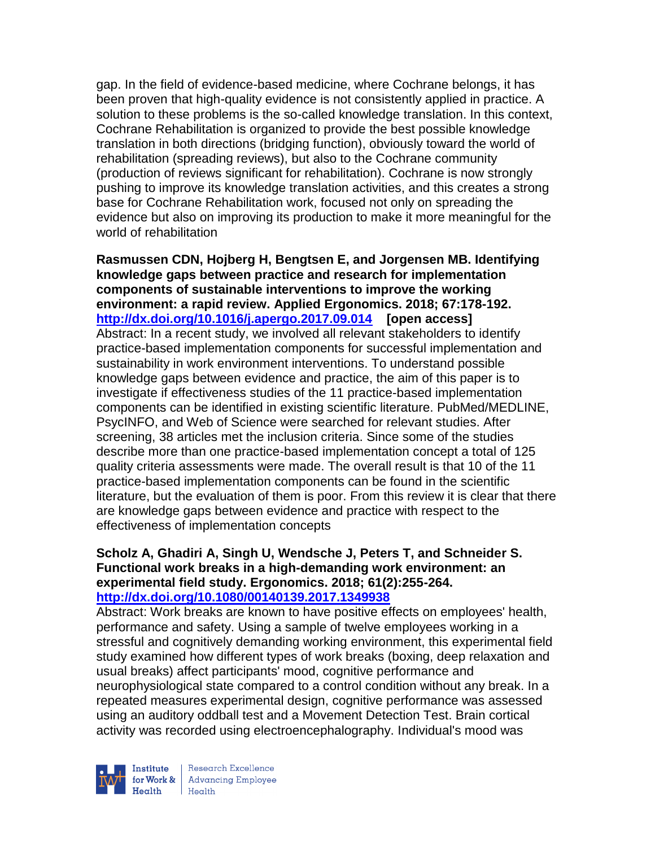gap. In the field of evidence-based medicine, where Cochrane belongs, it has been proven that high-quality evidence is not consistently applied in practice. A solution to these problems is the so-called knowledge translation. In this context, Cochrane Rehabilitation is organized to provide the best possible knowledge translation in both directions (bridging function), obviously toward the world of rehabilitation (spreading reviews), but also to the Cochrane community (production of reviews significant for rehabilitation). Cochrane is now strongly pushing to improve its knowledge translation activities, and this creates a strong base for Cochrane Rehabilitation work, focused not only on spreading the evidence but also on improving its production to make it more meaningful for the world of rehabilitation

**Rasmussen CDN, Hojberg H, Bengtsen E, and Jorgensen MB. Identifying knowledge gaps between practice and research for implementation components of sustainable interventions to improve the working environment: a rapid review. Applied Ergonomics. 2018; 67:178-192. <http://dx.doi.org/10.1016/j.apergo.2017.09.014>[open access]** Abstract: In a recent study, we involved all relevant stakeholders to identify practice-based implementation components for successful implementation and sustainability in work environment interventions. To understand possible knowledge gaps between evidence and practice, the aim of this paper is to investigate if effectiveness studies of the 11 practice-based implementation components can be identified in existing scientific literature. PubMed/MEDLINE, PsycINFO, and Web of Science were searched for relevant studies. After screening, 38 articles met the inclusion criteria. Since some of the studies describe more than one practice-based implementation concept a total of 125 quality criteria assessments were made. The overall result is that 10 of the 11 practice-based implementation components can be found in the scientific literature, but the evaluation of them is poor. From this review it is clear that there are knowledge gaps between evidence and practice with respect to the effectiveness of implementation concepts

#### **Scholz A, Ghadiri A, Singh U, Wendsche J, Peters T, and Schneider S. Functional work breaks in a high-demanding work environment: an experimental field study. Ergonomics. 2018; 61(2):255-264. <http://dx.doi.org/10.1080/00140139.2017.1349938>**

Abstract: Work breaks are known to have positive effects on employees' health, performance and safety. Using a sample of twelve employees working in a stressful and cognitively demanding working environment, this experimental field study examined how different types of work breaks (boxing, deep relaxation and usual breaks) affect participants' mood, cognitive performance and neurophysiological state compared to a control condition without any break. In a repeated measures experimental design, cognitive performance was assessed using an auditory oddball test and a Movement Detection Test. Brain cortical activity was recorded using electroencephalography. Individual's mood was



Research Excellence **Institute** Research Excellence<br> **for Work &** Advancing Employee Health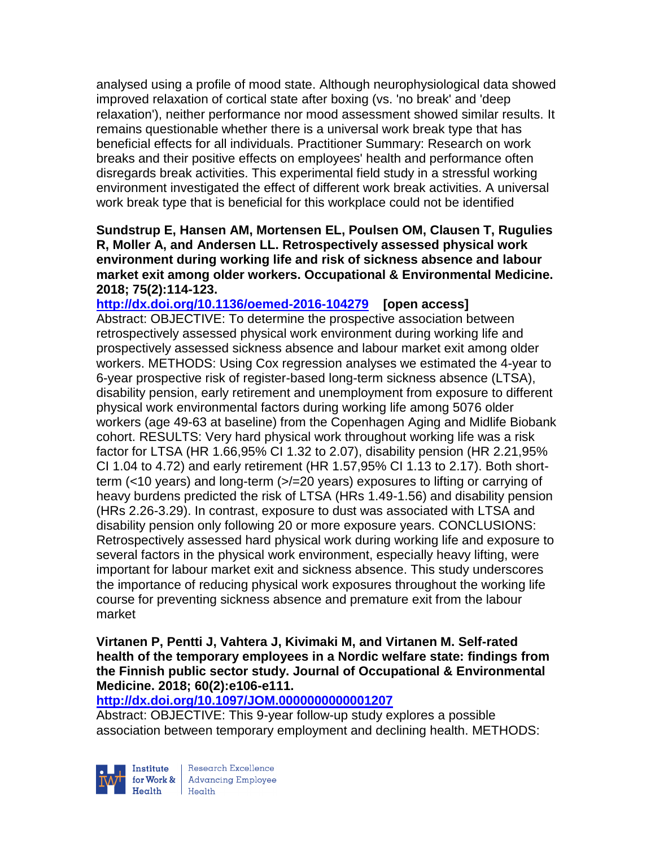analysed using a profile of mood state. Although neurophysiological data showed improved relaxation of cortical state after boxing (vs. 'no break' and 'deep relaxation'), neither performance nor mood assessment showed similar results. It remains questionable whether there is a universal work break type that has beneficial effects for all individuals. Practitioner Summary: Research on work breaks and their positive effects on employees' health and performance often disregards break activities. This experimental field study in a stressful working environment investigated the effect of different work break activities. A universal work break type that is beneficial for this workplace could not be identified

**Sundstrup E, Hansen AM, Mortensen EL, Poulsen OM, Clausen T, Rugulies R, Moller A, and Andersen LL. Retrospectively assessed physical work environment during working life and risk of sickness absence and labour market exit among older workers. Occupational & Environmental Medicine. 2018; 75(2):114-123.** 

**<http://dx.doi.org/10.1136/oemed-2016-104279>[open access]** Abstract: OBJECTIVE: To determine the prospective association between retrospectively assessed physical work environment during working life and prospectively assessed sickness absence and labour market exit among older workers. METHODS: Using Cox regression analyses we estimated the 4-year to 6-year prospective risk of register-based long-term sickness absence (LTSA), disability pension, early retirement and unemployment from exposure to different physical work environmental factors during working life among 5076 older workers (age 49-63 at baseline) from the Copenhagen Aging and Midlife Biobank cohort. RESULTS: Very hard physical work throughout working life was a risk factor for LTSA (HR 1.66,95% CI 1.32 to 2.07), disability pension (HR 2.21,95% CI 1.04 to 4.72) and early retirement (HR 1.57,95% CI 1.13 to 2.17). Both shortterm (<10 years) and long-term (>/=20 years) exposures to lifting or carrying of heavy burdens predicted the risk of LTSA (HRs 1.49-1.56) and disability pension (HRs 2.26-3.29). In contrast, exposure to dust was associated with LTSA and disability pension only following 20 or more exposure years. CONCLUSIONS: Retrospectively assessed hard physical work during working life and exposure to several factors in the physical work environment, especially heavy lifting, were important for labour market exit and sickness absence. This study underscores the importance of reducing physical work exposures throughout the working life course for preventing sickness absence and premature exit from the labour market

#### **Virtanen P, Pentti J, Vahtera J, Kivimaki M, and Virtanen M. Self-rated health of the temporary employees in a Nordic welfare state: findings from the Finnish public sector study. Journal of Occupational & Environmental Medicine. 2018; 60(2):e106-e111.**

## **<http://dx.doi.org/10.1097/JOM.0000000000001207>**

Abstract: OBJECTIVE: This 9-year follow-up study explores a possible association between temporary employment and declining health. METHODS:



Research Excellence for Work & Advancing Employee  $Heath$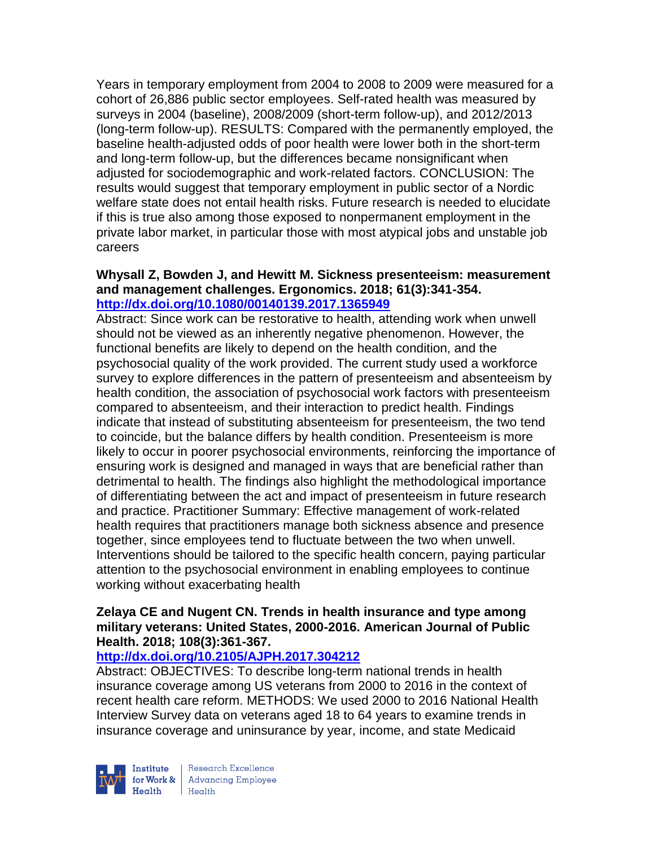Years in temporary employment from 2004 to 2008 to 2009 were measured for a cohort of 26,886 public sector employees. Self-rated health was measured by surveys in 2004 (baseline), 2008/2009 (short-term follow-up), and 2012/2013 (long-term follow-up). RESULTS: Compared with the permanently employed, the baseline health-adjusted odds of poor health were lower both in the short-term and long-term follow-up, but the differences became nonsignificant when adjusted for sociodemographic and work-related factors. CONCLUSION: The results would suggest that temporary employment in public sector of a Nordic welfare state does not entail health risks. Future research is needed to elucidate if this is true also among those exposed to nonpermanent employment in the private labor market, in particular those with most atypical jobs and unstable job careers

#### **Whysall Z, Bowden J, and Hewitt M. Sickness presenteeism: measurement and management challenges. Ergonomics. 2018; 61(3):341-354. <http://dx.doi.org/10.1080/00140139.2017.1365949>**

Abstract: Since work can be restorative to health, attending work when unwell should not be viewed as an inherently negative phenomenon. However, the functional benefits are likely to depend on the health condition, and the psychosocial quality of the work provided. The current study used a workforce survey to explore differences in the pattern of presenteeism and absenteeism by health condition, the association of psychosocial work factors with presenteeism compared to absenteeism, and their interaction to predict health. Findings indicate that instead of substituting absenteeism for presenteeism, the two tend to coincide, but the balance differs by health condition. Presenteeism is more likely to occur in poorer psychosocial environments, reinforcing the importance of ensuring work is designed and managed in ways that are beneficial rather than detrimental to health. The findings also highlight the methodological importance of differentiating between the act and impact of presenteeism in future research and practice. Practitioner Summary: Effective management of work-related health requires that practitioners manage both sickness absence and presence together, since employees tend to fluctuate between the two when unwell. Interventions should be tailored to the specific health concern, paying particular attention to the psychosocial environment in enabling employees to continue working without exacerbating health

## **Zelaya CE and Nugent CN. Trends in health insurance and type among military veterans: United States, 2000-2016. American Journal of Public Health. 2018; 108(3):361-367.**

## **<http://dx.doi.org/10.2105/AJPH.2017.304212>**

Abstract: OBJECTIVES: To describe long-term national trends in health insurance coverage among US veterans from 2000 to 2016 in the context of recent health care reform. METHODS: We used 2000 to 2016 National Health Interview Survey data on veterans aged 18 to 64 years to examine trends in insurance coverage and uninsurance by year, income, and state Medicaid



Research Excellence for Work & Advancing Employee<br>Health Health